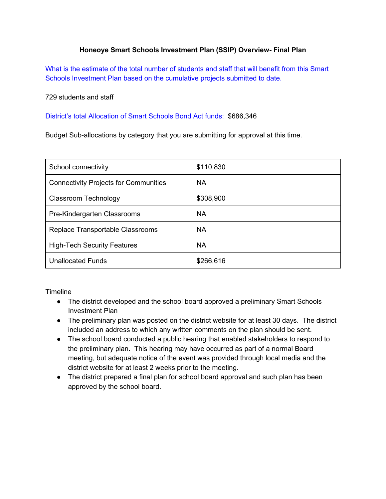## **Honeoye Smart Schools Investment Plan (SSIP) Overview Final Plan**

What is the estimate of the total number of students and staff that will benefit from this Smart Schools Investment Plan based on the cumulative projects submitted to date.

729 students and staff

District's total Allocation of Smart Schools Bond Act funds: \$686,346

Budget Sub-allocations by category that you are submitting for approval at this time.

| School connectivity                          | \$110,830 |
|----------------------------------------------|-----------|
| <b>Connectivity Projects for Communities</b> | <b>NA</b> |
| Classroom Technology                         | \$308,900 |
| Pre-Kindergarten Classrooms                  | <b>NA</b> |
| Replace Transportable Classrooms             | <b>NA</b> |
| <b>High-Tech Security Features</b>           | <b>NA</b> |
| <b>Unallocated Funds</b>                     | \$266,616 |

**Timeline** 

- The district developed and the school board approved a preliminary Smart Schools Investment Plan
- The preliminary plan was posted on the district website for at least 30 days. The district included an address to which any written comments on the plan should be sent.
- The school board conducted a public hearing that enabled stakeholders to respond to the preliminary plan. This hearing may have occurred as part of a normal Board meeting, but adequate notice of the event was provided through local media and the district website for at least 2 weeks prior to the meeting.
- The district prepared a final plan for school board approval and such plan has been approved by the school board.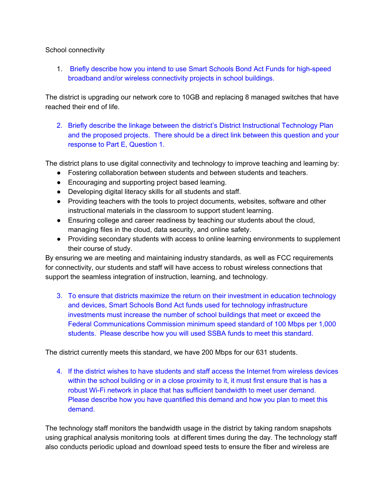## School connectivity

1. Briefly describe how you intend to use Smart Schools Bond Act Funds for high-speed broadband and/or wireless connectivity projects in school buildings.

The district is upgrading our network core to 10GB and replacing 8 managed switches that have reached their end of life.

2. Briefly describe the linkage between the district's District Instructional Technology Plan and the proposed projects. There should be a direct link between this question and your response to Part E, Question 1.

The district plans to use digital connectivity and technology to improve teaching and learning by:

- Fostering collaboration between students and between students and teachers.
- Encouraging and supporting project based learning.
- Developing digital literacy skills for all students and staff.
- Providing teachers with the tools to project documents, websites, software and other instructional materials in the classroom to support student learning.
- Ensuring college and career readiness by teaching our students about the cloud, managing files in the cloud, data security, and online safety.
- Providing secondary students with access to online learning environments to supplement their course of study.

By ensuring we are meeting and maintaining industry standards, as well as FCC requirements for connectivity, our students and staff will have access to robust wireless connections that support the seamless integration of instruction, learning, and technology.

3. To ensure that districts maximize the return on their investment in education technology and devices, Smart Schools Bond Act funds used for technology infrastructure investments must increase the number of school buildings that meet or exceed the Federal Communications Commission minimum speed standard of 100 Mbps per 1,000 students. Please describe how you will used SSBA funds to meet this standard.

The district currently meets this standard, we have 200 Mbps for our 631 students.

4. If the district wishes to have students and staff access the Internet from wireless devices within the school building or in a close proximity to it, it must first ensure that is has a robust Wi-Fi network in place that has sufficient bandwidth to meet user demand. Please describe how you have quantified this demand and how you plan to meet this demand.

The technology staff monitors the bandwidth usage in the district by taking random snapshots using graphical analysis monitoring tools at different times during the day. The technology staff also conducts periodic upload and download speed tests to ensure the fiber and wireless are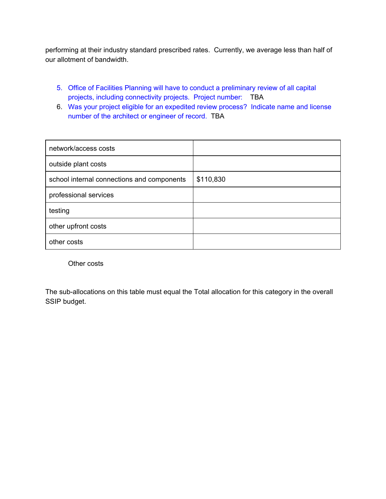performing at their industry standard prescribed rates. Currently, we average less than half of our allotment of bandwidth.

- 5. Office of Facilities Planning will have to conduct a preliminary review of all capital projects, including connectivity projects. Project number: TBA
- 6. Was your project eligible for an expedited review process? Indicate name and license number of the architect or engineer of record. TBA

| network/access costs                       |           |
|--------------------------------------------|-----------|
| outside plant costs                        |           |
| school internal connections and components | \$110,830 |
| professional services                      |           |
| testing                                    |           |
| other upfront costs                        |           |
| other costs                                |           |

Other costs

The sub-allocations on this table must equal the Total allocation for this category in the overall SSIP budget.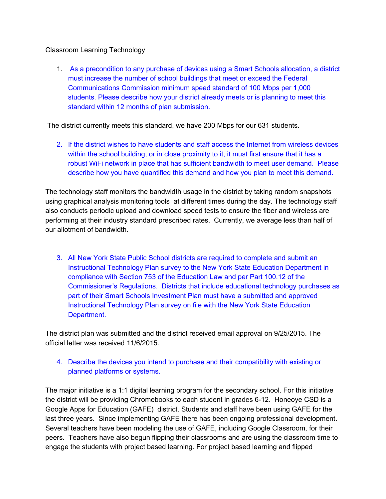## Classroom Learning Technology

1. As a precondition to any purchase of devices using a Smart Schools allocation, a district must increase the number of school buildings that meet or exceed the Federal Communications Commission minimum speed standard of 100 Mbps per 1,000 students. Please describe how your district already meets or is planning to meet this standard within 12 months of plan submission.

The district currently meets this standard, we have 200 Mbps for our 631 students.

2. If the district wishes to have students and staff access the Internet from wireless devices within the school building, or in close proximity to it, it must first ensure that it has a robust WiFi network in place that has sufficient bandwidth to meet user demand. Please describe how you have quantified this demand and how you plan to meet this demand.

The technology staff monitors the bandwidth usage in the district by taking random snapshots using graphical analysis monitoring tools at different times during the day. The technology staff also conducts periodic upload and download speed tests to ensure the fiber and wireless are performing at their industry standard prescribed rates. Currently, we average less than half of our allotment of bandwidth.

3. All New York State Public School districts are required to complete and submit an Instructional Technology Plan survey to the New York State Education Department in compliance with Section 753 of the Education Law and per Part 100.12 of the Commissioner's Regulations. Districts that include educational technology purchases as part of their Smart Schools Investment Plan must have a submitted and approved Instructional Technology Plan survey on file with the New York State Education Department.

The district plan was submitted and the district received email approval on 9/25/2015. The official letter was received 11/6/2015.

4. Describe the devices you intend to purchase and their compatibility with existing or planned platforms or systems.

The major initiative is a 1:1 digital learning program for the secondary school. For this initiative the district will be providing Chromebooks to each student in grades 6-12. Honeoye CSD is a Google Apps for Education (GAFE) district. Students and staff have been using GAFE for the last three years. Since implementing GAFE there has been ongoing professional development. Several teachers have been modeling the use of GAFE, including Google Classroom, for their peers. Teachers have also begun flipping their classrooms and are using the classroom time to engage the students with project based learning. For project based learning and flipped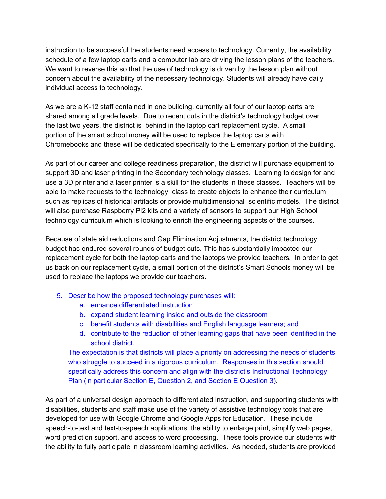instruction to be successful the students need access to technology. Currently, the availability schedule of a few laptop carts and a computer lab are driving the lesson plans of the teachers. We want to reverse this so that the use of technology is driven by the lesson plan without concern about the availability of the necessary technology. Students will already have daily individual access to technology.

As we are a K-12 staff contained in one building, currently all four of our laptop carts are shared among all grade levels. Due to recent cuts in the district's technology budget over the last two years, the district is behind in the laptop cart replacement cycle. A small portion of the smart school money will be used to replace the laptop carts with Chromebooks and these will be dedicated specifically to the Elementary portion of the building.

As part of our career and college readiness preparation, the district will purchase equipment to support 3D and laser printing in the Secondary technology classes. Learning to design for and use a 3D printer and a laser printer is a skill for the students in these classes. Teachers will be able to make requests to the technology class to create objects to enhance their curriculum such as replicas of historical artifacts or provide multidimensional scientific models. The district will also purchase Raspberry Pi2 kits and a variety of sensors to support our High School technology curriculum which is looking to enrich the engineering aspects of the courses.

Because of state aid reductions and Gap Elimination Adjustments, the district technology budget has endured several rounds of budget cuts. This has substantially impacted our replacement cycle for both the laptop carts and the laptops we provide teachers. In order to get us back on our replacement cycle, a small portion of the district's Smart Schools money will be used to replace the laptops we provide our teachers.

- 5. Describe how the proposed technology purchases will:
	- a. enhance differentiated instruction
	- b. expand student learning inside and outside the classroom
	- c. benefit students with disabilities and English language learners; and
	- d. contribute to the reduction of other learning gaps that have been identified in the school district.

The expectation is that districts will place a priority on addressing the needs of students who struggle to succeed in a rigorous curriculum. Responses in this section should specifically address this concern and align with the district's Instructional Technology Plan (in particular Section E, Question 2, and Section E Question 3).

As part of a universal design approach to differentiated instruction, and supporting students with disabilities, students and staff make use of the variety of assistive technology tools that are developed for use with Google Chrome and Google Apps for Education. These include speech-to-text and text-to-speech applications, the ability to enlarge print, simplify web pages, word prediction support, and access to word processing. These tools provide our students with the ability to fully participate in classroom learning activities. As needed, students are provided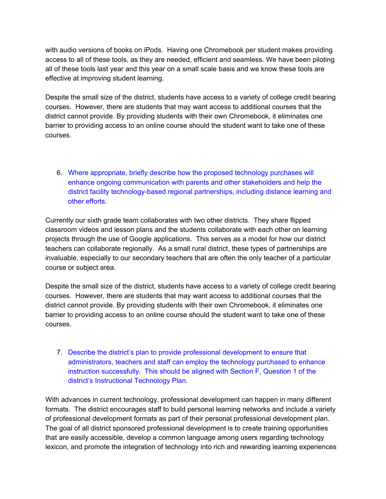with audio versions of books on iPods. Having one Chromebook per student makes providing access to all of these tools, as they are needed, efficient and seamless. We have been piloting all of these tools last year and this year on a small scale basis and we know these tools are effective at improving student learning.

Despite the small size of the district, students have access to a variety of college credit bearing courses. However, there are students that may want access to additional courses that the district cannot provide. By providing students with their own Chromebook, it eliminates one barrier to providing access to an online course should the student want to take one of these courses.

6. Where appropriate, briefly describe how the proposed technology purchases will enhance ongoing communication with parents and other stakeholders and help the district facility technology-based regional partnerships, including distance learning and other efforts.

Currently our sixth grade team collaborates with two other districts. They share flipped classroom videos and lesson plans and the students collaborate with each other on learning projects through the use of Google applications. This serves as a model for how our district teachers can collaborate regionally. As a small rural district, these types of partnerships are invaluable, especially to our secondary teachers that are often the only teacher of a particular course or subject area.

Despite the small size of the district, students have access to a variety of college credit bearing courses. However, there are students that may want access to additional courses that the district cannot provide. By providing students with their own Chromebook, it eliminates one barrier to providing access to an online course should the student want to take one of these courses.

7. Describe the district's plan to provide professional development to ensure that administrators, teachers and staff can employ the technology purchased to enhance instruction successfully. This should be aligned with Section F, Question 1 of the district's Instructional Technology Plan.

With advances in current technology, professional development can happen in many different formats. The district encourages staff to build personal learning networks and include a variety of professional development formats as part of their personal professional development plan. The goal of all district sponsored professional development is to create training opportunities that are easily accessible, develop a common language among users regarding technology lexicon, and promote the integration of technology into rich and rewarding learning experiences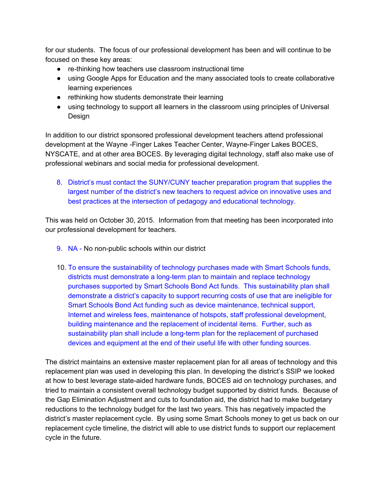for our students. The focus of our professional development has been and will continue to be focused on these key areas:

- rethinking how teachers use classroom instructional time
- using Google Apps for Education and the many associated tools to create collaborative learning experiences
- rethinking how students demonstrate their learning
- using technology to support all learners in the classroom using principles of Universal Design

In addition to our district sponsored professional development teachers attend professional development at the Wayne - Finger Lakes Teacher Center, Wayne-Finger Lakes BOCES, NYSCATE, and at other area BOCES. By leveraging digital technology, staff also make use of professional webinars and social media for professional development.

8. District's must contact the SUNY/CUNY teacher preparation program that supplies the largest number of the district's new teachers to request advice on innovative uses and best practices at the intersection of pedagogy and educational technology.

This was held on October 30, 2015. Information from that meeting has been incorporated into our professional development for teachers.

- 9. NA No non-public schools within our district
- 10. To ensure the sustainability of technology purchases made with Smart Schools funds, districts must demonstrate a long-term plan to maintain and replace technology purchases supported by Smart Schools Bond Act funds. This sustainability plan shall demonstrate a district's capacity to support recurring costs of use that are ineligible for Smart Schools Bond Act funding such as device maintenance, technical support, Internet and wireless fees, maintenance of hotspots, staff professional development, building maintenance and the replacement of incidental items. Further, such as sustainability plan shall include a long-term plan for the replacement of purchased devices and equipment at the end of their useful life with other funding sources.

The district maintains an extensive master replacement plan for all areas of technology and this replacement plan was used in developing this plan. In developing the district's SSIP we looked at how to best leverage state-aided hardware funds, BOCES aid on technology purchases, and tried to maintain a consistent overall technology budget supported by district funds. Because of the Gap Elimination Adjustment and cuts to foundation aid, the district had to make budgetary reductions to the technology budget for the last two years. This has negatively impacted the district's master replacement cycle. By using some Smart Schools money to get us back on our replacement cycle timeline, the district will able to use district funds to support our replacement cycle in the future.